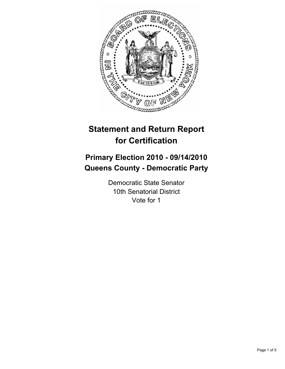

# **Statement and Return Report for Certification**

## **Primary Election 2010 - 09/14/2010 Queens County - Democratic Party**

Democratic State Senator 10th Senatorial District Vote for 1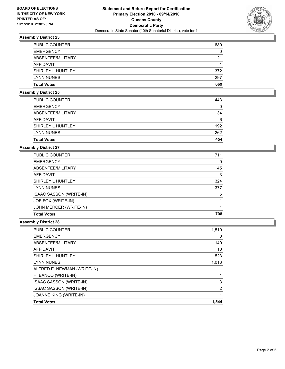

## **Assembly District 23**

| <b>Total Votes</b>    | 669 |
|-----------------------|-----|
| <b>LYNN NUNES</b>     | 297 |
| SHIRLEY L HUNTLEY     | 372 |
| AFFIDAVIT             |     |
| ABSENTEE/MILITARY     | 21  |
| <b>EMERGENCY</b>      | 0   |
| <b>PUBLIC COUNTER</b> | 680 |

#### **Assembly District 25**

| 262 |
|-----|
|     |
| 192 |
| 6   |
| 34  |
| 0   |
| 443 |
|     |

#### **Assembly District 27**

| PUBLIC COUNTER                 | 711 |
|--------------------------------|-----|
| <b>EMERGENCY</b>               | 0   |
| ABSENTEE/MILITARY              | 45  |
| AFFIDAVIT                      | 3   |
| SHIRLEY L HUNTLEY              | 324 |
| <b>LYNN NUNES</b>              | 377 |
| <b>ISAAC SASSON (WRITE-IN)</b> | 5   |
| JOE FOX (WRITE-IN)             |     |
| JOHN MERCER (WRITE-IN)         |     |
| <b>Total Votes</b>             | 708 |

#### **Assembly District 28**

| <b>PUBLIC COUNTER</b>          | 1,519 |
|--------------------------------|-------|
| <b>EMERGENCY</b>               | 0     |
| ABSENTEE/MILITARY              | 140   |
| <b>AFFIDAVIT</b>               | 10    |
| SHIRLEY L HUNTLEY              | 523   |
| <b>LYNN NUNES</b>              | 1,013 |
| ALFRED E. NEWMAN (WRITE-IN)    |       |
| H. BANCO (WRITE-IN)            |       |
| <b>ISAAC SASSON (WRITE-IN)</b> | 3     |
| <b>ISSAC SASSON (WRITE-IN)</b> | 2     |
| JOANNE KING (WRITE-IN)         |       |
| <b>Total Votes</b>             | 1,544 |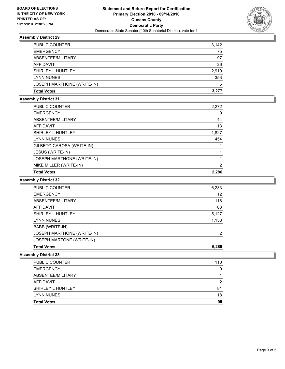

## **Assembly District 29**

| <b>Total Votes</b>         | 3.277 |
|----------------------------|-------|
| JOSEPH MARTHONE (WRITE-IN) | 5     |
| <b>LYNN NUNES</b>          | 353   |
| SHIRLEY L HUNTLEY          | 2.919 |
| AFFIDAVIT                  | 26    |
| ABSENTEE/MILITARY          | 97    |
| <b>EMERGENCY</b>           | 75    |
| <b>PUBLIC COUNTER</b>      | 3,142 |

## **Assembly District 31**

| <b>Total Votes</b>         | 2,286          |
|----------------------------|----------------|
| MIKE MILLER (WRITE-IN)     | $\overline{2}$ |
| JOSEPH MARTHONE (WRITE-IN) |                |
| JESUS (WRITE-IN)           |                |
| GILBETO CAROSA (WRITE-IN)  |                |
| <b>LYNN NUNES</b>          | 454            |
| SHIRLEY L HUNTLEY          | 1,827          |
| <b>AFFIDAVIT</b>           | 13             |
| ABSENTEE/MILITARY          | 44             |
| <b>EMERGENCY</b>           | 9              |
| PUBLIC COUNTER             | 2,272          |

## **Assembly District 32**

| <b>PUBLIC COUNTER</b>      | 6,233 |
|----------------------------|-------|
| <b>EMERGENCY</b>           | 12    |
| ABSENTEE/MILITARY          | 118   |
| <b>AFFIDAVIT</b>           | 63    |
| SHIRLEY L HUNTLEY          | 5,127 |
| <b>LYNN NUNES</b>          | 1,158 |
| BABB (WRITE-IN)            |       |
| JOSEPH MARTHONE (WRITE-IN) | 2     |
| JOSEPH MARTONE (WRITE-IN)  |       |
| <b>Total Votes</b>         | 6.289 |

#### **Assembly District 33**

| <b>Total Votes</b>    | 99  |
|-----------------------|-----|
| <b>LYNN NUNES</b>     | 18  |
| SHIRLEY L HUNTLEY     | 81  |
| AFFIDAVIT             | 2   |
| ABSENTEE/MILITARY     |     |
| <b>EMERGENCY</b>      | 0   |
| <b>PUBLIC COUNTER</b> | 110 |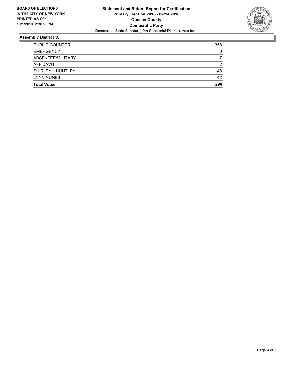

## **Assembly District 38**

| <b>Total Votes</b>    | 290 |
|-----------------------|-----|
| <b>LYNN NUNES</b>     | 142 |
| SHIRLEY L HUNTLEY     | 148 |
| AFFIDAVIT             | 2   |
| ABSENTEE/MILITARY     |     |
| <b>EMERGENCY</b>      | 0   |
| <b>PUBLIC COUNTER</b> | 358 |